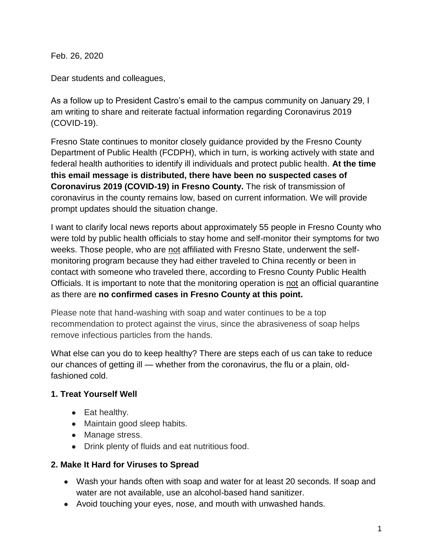Feb. 26, 2020

Dear students and colleagues,

As a follow up to President Castro's email to the campus community on January 29, I am writing to share and reiterate factual information regarding Coronavirus 2019 (COVID-19).

Fresno State continues to monitor closely guidance provided by the Fresno County Department of Public Health (FCDPH), which in turn, is working actively with state and federal health authorities to identify ill individuals and protect public health. **At the time this email message is distributed, there have been no suspected cases of Coronavirus 2019 (COVID-19) in Fresno County.** The risk of transmission of coronavirus in the county remains low, based on current information. We will provide prompt updates should the situation change.

I want to clarify local news reports about approximately 55 people in Fresno County who were told by public health officials to stay home and self-monitor their symptoms for two weeks. Those people, who are not affiliated with Fresno State, underwent the selfmonitoring program because they had either traveled to China recently or been in contact with someone who traveled there, according to Fresno County Public Health Officials. It is important to note that the monitoring operation is not an official quarantine as there are **no confirmed cases in Fresno County at this point.**

Please note that hand-washing with soap and water continues to be a top recommendation to protect against the virus, since the abrasiveness of soap helps remove infectious particles from the hands.

What else can you do to keep healthy? There are steps each of us can take to reduce our chances of getting ill — whether from the coronavirus, the flu or a plain, oldfashioned cold.

## **1. Treat Yourself Well**

- Eat healthy.
- Maintain good sleep habits.
- Manage stress.
- Drink plenty of fluids and eat nutritious food.

## **2. Make It Hard for Viruses to Spread**

- Wash your hands often with soap and water for at least 20 seconds. If soap and water are not available, use an alcohol-based hand sanitizer.
- Avoid touching your eyes, nose, and mouth with unwashed hands.